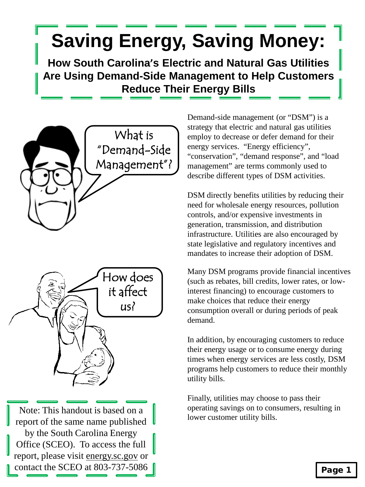## **Saving Energy, Saving Money:**

**How South Carolina's Electric and Natural Gas Utilities Are Using Demand-Side Management to Help Customers Reduce Their Energy Bills**





Note: This handout is based on a report of the same name published by the South Carolina Energy Office (SCEO). To access the full report, please visit energy.sc.gov or contact the SCEO at 803-737-5086  $\parallel$ 

Demand-side management (or "DSM") is a strategy that electric and natural gas utilities employ to decrease or defer demand for their energy services. "Energy efficiency", "conservation", "demand response", and "load management" are terms commonly used to describe different types of DSM activities.

DSM directly benefits utilities by reducing their need for wholesale energy resources, pollution controls, and/or expensive investments in generation, transmission, and distribution infrastructure. Utilities are also encouraged by state legislative and regulatory incentives and mandates to increase their adoption of DSM.

Many DSM programs provide financial incentives (such as rebates, bill credits, lower rates, or lowinterest financing) to encourage customers to make choices that reduce their energy consumption overall or during periods of peak demand.

In addition, by encouraging customers to reduce their energy usage or to consume energy during times when energy services are less costly, DSM programs help customers to reduce their monthly utility bills.

Finally, utilities may choose to pass their operating savings on to consumers, resulting in lower customer utility bills.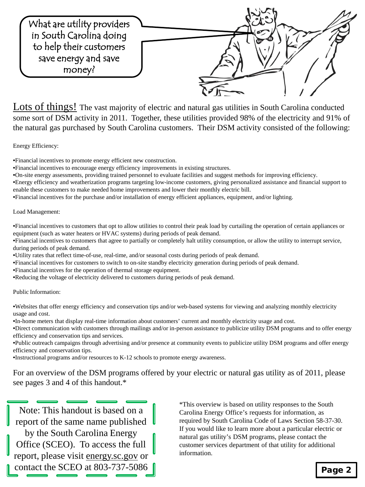

Lots of things! The vast majority of electric and natural gas utilities in South Carolina conducted some sort of DSM activity in 2011. Together, these utilities provided 98% of the electricity and 91% of the natural gas purchased by South Carolina customers. Their DSM activity consisted of the following:

Energy Efficiency:

•Financial incentives to promote energy efficient new construction.

•Financial incentives to encourage energy efficiency improvements in existing structures.

•On-site energy assessments, providing trained personnel to evaluate facilities and suggest methods for improving efficiency.

•Energy efficiency and weatherization programs targeting low-income customers, giving personalized assistance and financial support to enable these customers to make needed home improvements and lower their monthly electric bill.

•Financial incentives for the purchase and/or installation of energy efficient appliances, equipment, and/or lighting.

Load Management:

•Financial incentives to customers that opt to allow utilities to control their peak load by curtailing the operation of certain appliances or equipment (such as water heaters or HVAC systems) during periods of peak demand.

•Financial incentives to customers that agree to partially or completely halt utility consumption, or allow the utility to interrupt service, during periods of peak demand.

•Utility rates that reflect time-of-use, real-time, and/or seasonal costs during periods of peak demand.

•Financial incentives for customers to switch to on-site standby electricity generation during periods of peak demand.

•Financial incentives for the operation of thermal storage equipment.

•Reducing the voltage of electricity delivered to customers during periods of peak demand.

Public Information:

•Websites that offer energy efficiency and conservation tips and/or web-based systems for viewing and analyzing monthly electricity usage and cost.

•In-home meters that display real-time information about customers' current and monthly electricity usage and cost.

•Direct communication with customers through mailings and/or in-person assistance to publicize utility DSM programs and to offer energy efficiency and conservation tips and services.

•Public outreach campaigns through advertising and/or presence at community events to publicize utility DSM programs and offer energy efficiency and conservation tips.

•Instructional programs and/or resources to K-12 schools to promote energy awareness.

For an overview of the DSM programs offered by your electric or natural gas utility as of 2011, please see pages 3 and 4 of this handout.\*

Note: This handout is based on a report of the same name published by the South Carolina Energy Office (SCEO). To access the full report, please visit energy.sc.gov or contact the SCEO at 803-737-5086  $\parallel$ 

\*This overview is based on utility responses to the South Carolina Energy Office's requests for information, as required by South Carolina Code of Laws Section 58-37-30. If you would like to learn more about a particular electric or natural gas utility's DSM programs, please contact the customer services department of that utility for additional information.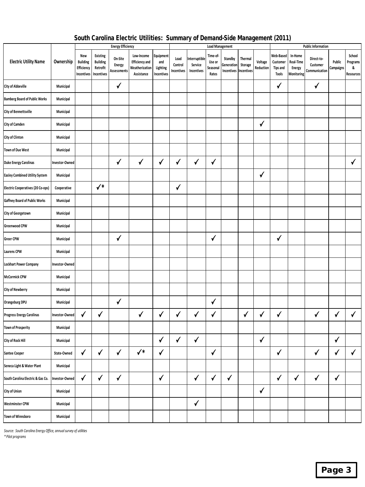|                                      |                | <b>Energy Efficiency</b>                           |                                                       |                                         |                                                                     |                                            | <b>Load Management</b>        |                                        |                                         |                                     |                                  |                      | <b>Public Information</b>                                |                                              |                                         |                     |                                      |  |
|--------------------------------------|----------------|----------------------------------------------------|-------------------------------------------------------|-----------------------------------------|---------------------------------------------------------------------|--------------------------------------------|-------------------------------|----------------------------------------|-----------------------------------------|-------------------------------------|----------------------------------|----------------------|----------------------------------------------------------|----------------------------------------------|-----------------------------------------|---------------------|--------------------------------------|--|
| <b>Electric Utility Name</b>         | Ownership      | New<br><b>Building</b><br>Efficiency<br>Incentives | Existing<br><b>Building</b><br>Retrofit<br>Incentives | On-Site<br><b>Energy</b><br>Assessments | Low-Income<br><b>Efficiency and</b><br>Weatherization<br>Assistance | Equipment<br>and<br>Lighting<br>Incentives | Load<br>Control<br>Incentives | Interruptible<br>Service<br>Incentives | Time-of-<br>Use or<br>Seasonal<br>Rates | Standby<br>Generation<br>Incentives | Thermal<br>Storage<br>Incentives | Voltage<br>Reduction | Web-Based<br>Customer<br><b>Tips and</b><br><b>Tools</b> | In-Home<br>Real-Time<br>Energy<br>Monitoring | Direct-to-<br>Customer<br>Communication | Public<br>Campaigns | School<br>Programs<br>&<br>Resources |  |
| City of Abbeville                    | Municipal      |                                                    |                                                       | $\checkmark$                            |                                                                     |                                            |                               |                                        |                                         |                                     |                                  |                      | √                                                        |                                              | $\checkmark$                            |                     |                                      |  |
| <b>Bamberg Board of Public Works</b> | Municipal      |                                                    |                                                       |                                         |                                                                     |                                            |                               |                                        |                                         |                                     |                                  |                      |                                                          |                                              |                                         |                     |                                      |  |
| City of Bennettsville                | Municipal      |                                                    |                                                       |                                         |                                                                     |                                            |                               |                                        |                                         |                                     |                                  |                      |                                                          |                                              |                                         |                     |                                      |  |
| City of Camden                       | Municipal      |                                                    |                                                       |                                         |                                                                     |                                            |                               |                                        |                                         |                                     |                                  | $\checkmark$         |                                                          |                                              |                                         |                     |                                      |  |
| City of Clinton                      | Municipal      |                                                    |                                                       |                                         |                                                                     |                                            |                               |                                        |                                         |                                     |                                  |                      |                                                          |                                              |                                         |                     |                                      |  |
| <b>Town of Due West</b>              | Municipal      |                                                    |                                                       |                                         |                                                                     |                                            |                               |                                        |                                         |                                     |                                  |                      |                                                          |                                              |                                         |                     |                                      |  |
| <b>Duke Energy Carolinas</b>         | Investor-Owned |                                                    |                                                       | √                                       | √                                                                   | √                                          | √                             | $\checkmark$                           | √                                       |                                     |                                  |                      |                                                          |                                              |                                         |                     | $\checkmark$                         |  |
| Easley Combined Utility System       | Municipal      |                                                    |                                                       |                                         |                                                                     |                                            |                               |                                        |                                         |                                     |                                  | ✔                    |                                                          |                                              |                                         |                     |                                      |  |
| Electric Cooperatives (20 Co-ops)    | Cooperative    |                                                    | $\checkmark^*$                                        |                                         |                                                                     |                                            | √                             |                                        |                                         |                                     |                                  |                      |                                                          |                                              |                                         |                     |                                      |  |
| Gaffney Board of Public Works        | Municipal      |                                                    |                                                       |                                         |                                                                     |                                            |                               |                                        |                                         |                                     |                                  |                      |                                                          |                                              |                                         |                     |                                      |  |
| City of Georgetown                   | Municipal      |                                                    |                                                       |                                         |                                                                     |                                            |                               |                                        |                                         |                                     |                                  |                      |                                                          |                                              |                                         |                     |                                      |  |
| Greenwood CPW                        | Municipal      |                                                    |                                                       |                                         |                                                                     |                                            |                               |                                        |                                         |                                     |                                  |                      |                                                          |                                              |                                         |                     |                                      |  |
| Greer CPW                            | Municipal      |                                                    |                                                       | $\sqrt{2}$                              |                                                                     |                                            |                               |                                        | $\checkmark$                            |                                     |                                  |                      | √                                                        |                                              |                                         |                     |                                      |  |
| <b>Laurens CPW</b>                   | Municipal      |                                                    |                                                       |                                         |                                                                     |                                            |                               |                                        |                                         |                                     |                                  |                      |                                                          |                                              |                                         |                     |                                      |  |
| <b>Lockhart Power Company</b>        | Investor-Owned |                                                    |                                                       |                                         |                                                                     |                                            |                               |                                        |                                         |                                     |                                  |                      |                                                          |                                              |                                         |                     |                                      |  |
| McCormick CPW                        | Municipal      |                                                    |                                                       |                                         |                                                                     |                                            |                               |                                        |                                         |                                     |                                  |                      |                                                          |                                              |                                         |                     |                                      |  |
| City of Newberry                     | Municipal      |                                                    |                                                       |                                         |                                                                     |                                            |                               |                                        |                                         |                                     |                                  |                      |                                                          |                                              |                                         |                     |                                      |  |
| Orangeburg DPU                       | Municipal      |                                                    |                                                       | $\checkmark$                            |                                                                     |                                            |                               |                                        | $\checkmark$                            |                                     |                                  |                      |                                                          |                                              |                                         |                     |                                      |  |
| Progress Energy Carolinas            | Investor-Owned | √                                                  | $\checkmark$                                          |                                         | $\checkmark$                                                        | $\checkmark$                               | √                             | $\checkmark$                           | $\checkmark$                            |                                     | $\checkmark$                     | √                    | $\checkmark$                                             |                                              | $\checkmark$                            | ✓                   | $\checkmark$                         |  |
| <b>Town of Prosperity</b>            | Municipal      |                                                    |                                                       |                                         |                                                                     |                                            |                               |                                        |                                         |                                     |                                  |                      |                                                          |                                              |                                         |                     |                                      |  |
| City of Rock Hill                    | Municipal      |                                                    |                                                       |                                         |                                                                     | √                                          | √                             | √                                      |                                         |                                     |                                  | √                    |                                                          |                                              |                                         | √                   |                                      |  |
| Santee Cooper                        | State-Owned    | $\sqrt{2}$                                         | $\checkmark$                                          | $\checkmark$                            | $\checkmark^*$                                                      | $\checkmark$                               |                               |                                        | $\checkmark$                            |                                     |                                  |                      | $\checkmark$                                             |                                              | $\checkmark$                            | $\checkmark$        | $\checkmark$                         |  |
| Seneca Light & Water Plant           | Municipal      |                                                    |                                                       |                                         |                                                                     |                                            |                               |                                        |                                         |                                     |                                  |                      |                                                          |                                              |                                         |                     |                                      |  |
| South Carolina Electric & Gas Co.    | Investor-Owned | $\checkmark$                                       | $\checkmark$                                          | $\checkmark$                            |                                                                     | $\checkmark$                               |                               | $\checkmark$                           | $\checkmark$                            | $\checkmark$                        |                                  |                      | $\checkmark$                                             | $\checkmark$                                 | $\checkmark$                            | $\checkmark$        |                                      |  |
| City of Union                        | Municipal      |                                                    |                                                       |                                         |                                                                     |                                            |                               |                                        |                                         |                                     |                                  | $\checkmark$         |                                                          |                                              |                                         |                     |                                      |  |
| Westminster CPW                      | Municipal      |                                                    |                                                       |                                         |                                                                     |                                            |                               | $\checkmark$                           |                                         |                                     |                                  |                      |                                                          |                                              |                                         |                     |                                      |  |
| Town of Winnsboro                    | Municipal      |                                                    |                                                       |                                         |                                                                     |                                            |                               |                                        |                                         |                                     |                                  |                      |                                                          |                                              |                                         |                     |                                      |  |

## South Carolina Electric Utilities: Summary of Demand-Side Management (2011)

*Source: South Carolina Energy Office, annual survey of utilities*

*\* Pilot programs*